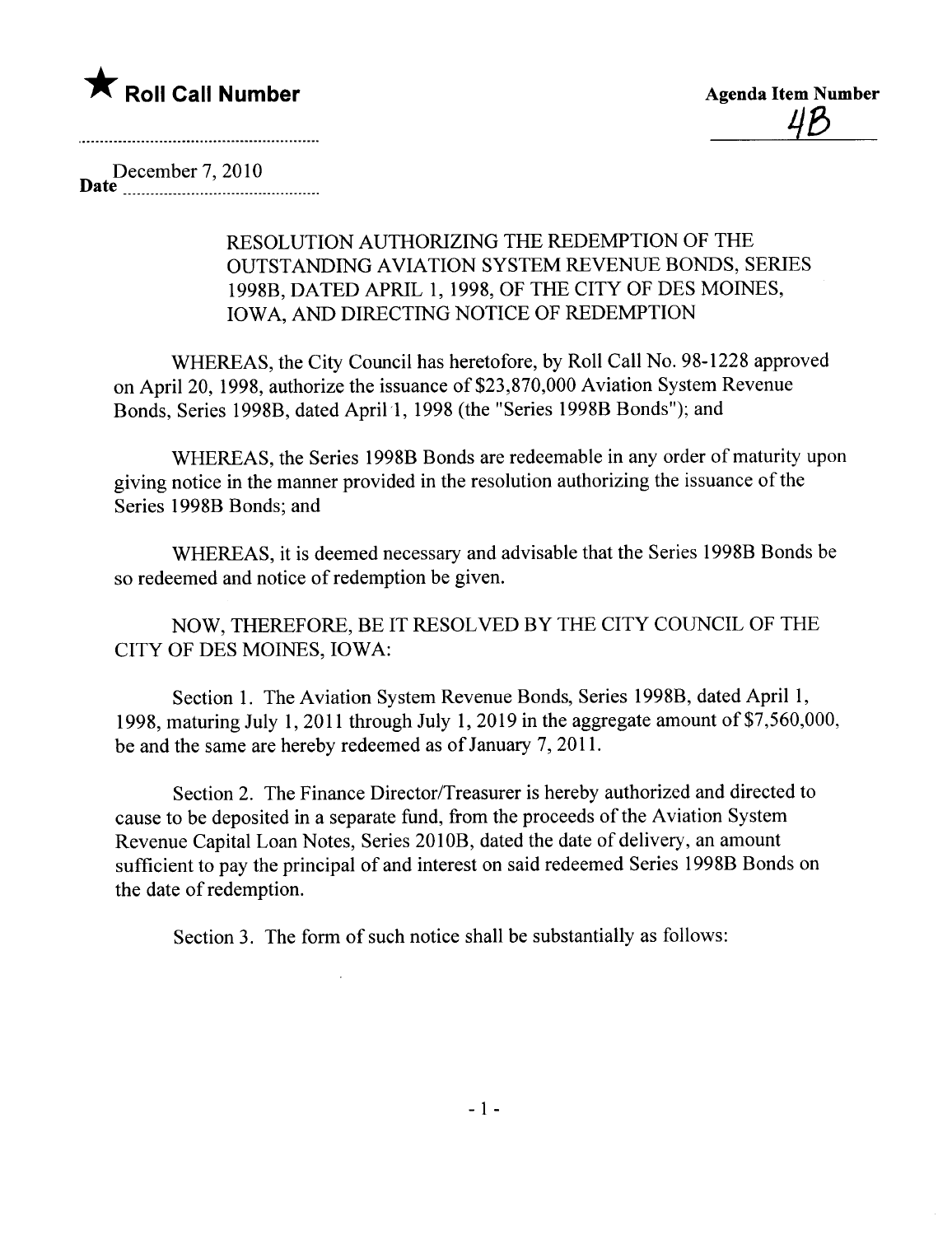

December 7, 2010 Date \_\_ \_\_\_\_\_\_\_\_\_\_\_\_... ...\_\_ \_ \_ \_ \_ \_ \_ \_ \_ \_\_\_\_\_ \_ \_\_\_\_\_ \_..

## RESOLUTION AUTHORIZING THE REDEMPTION OF THE OUTSTANDING AVIATION SYSTEM REVENUE BONDS, SERIES 1998B, DATED APRIL 1, 1998, OF THE CITY OF DES MOINES, IOWA, AND DIRECTING NOTICE OF REDEMPTION

WHEREAS, the City Council has heretofore, by Roll Call No. 98-1228 approved on April 20, 1998, authorize the issuance of \$23,870,000 Aviation System Revenue Bonds, Series 1998B, dated April 1, 1998 (the "Series 1998B Bonds"); and

WHEREAS, the Series 1998B Bonds are redeemable in any order of maturity upon giving notice in the manner provided in the resolution authorizing the issuance of the Series 1998B Bonds; and

WHEREAS, it is deemed necessary and advisable that the Series 1998B Bonds be so redeemed and notice of redemption be given.

NOW, THEREFORE, BE IT RESOLVED BY THE CITY COUNCIL OF THE CITY OF DES MOINES, IOWA:

Section 1. The Aviation System Revenue Bonds, Series 1998B, dated April 1, 1998, maturing July 1, 2011 through July 1, 2019 in the aggregate amount of  $$7,560,000$ , be and the same are hereby redeemed as of January 7, 2011.

Section 2. The Finance Director/Treasurer is hereby authorized and directed to cause to be deposited in a separate fund, from the proceeds of the Aviation System Revenue Capital Loan Notes, Series 2010B, dated the date of delivery, an amount sufficient to pay the principal of and interest on said redeemed Series 1998B Bonds on the date of redemption.

Section 3. The form of such notice shall be substantially as follows: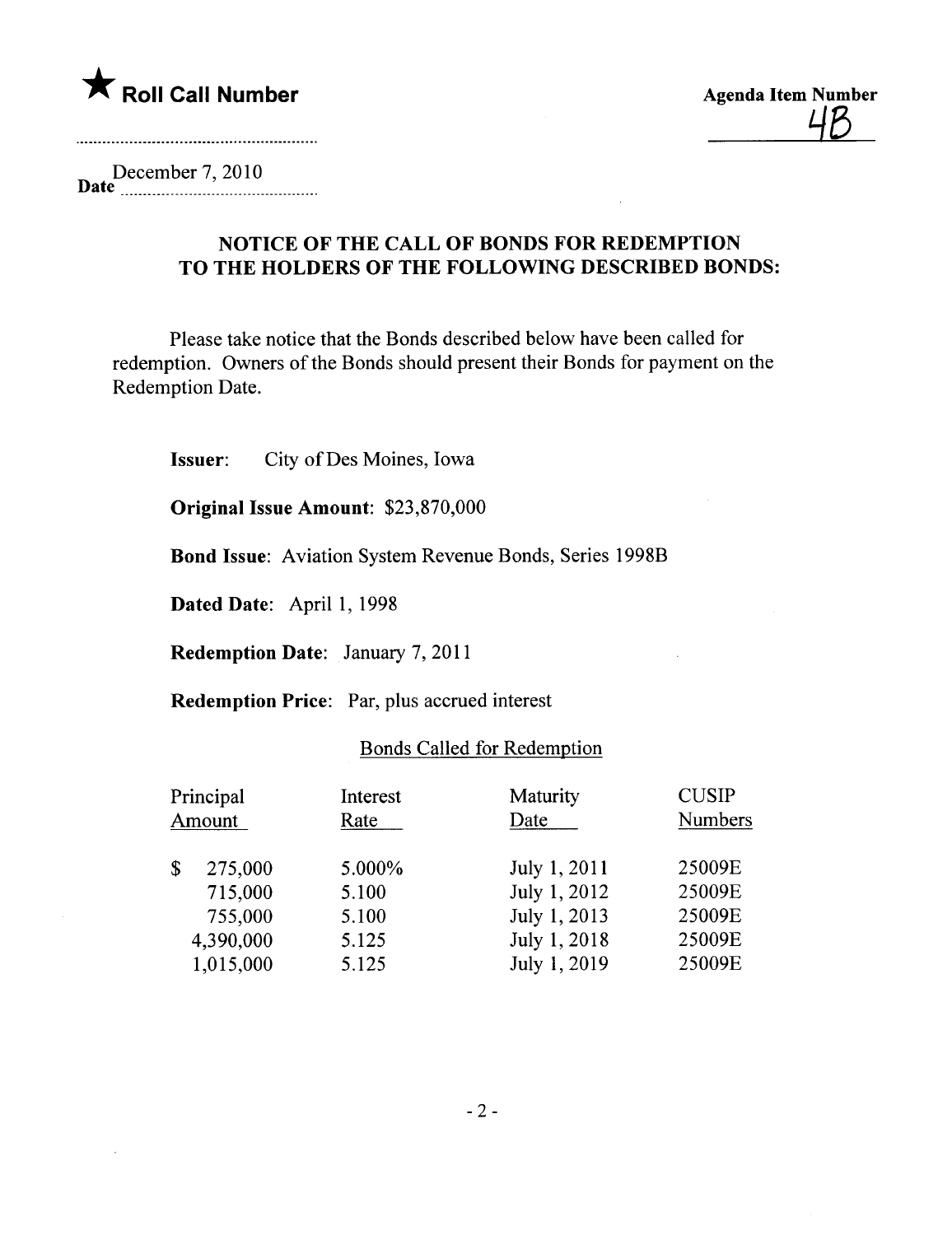

December 7, 2010<br>**Date** \_\_\_\_\_\_\_\_\_\_\_\_\_\_\_\_\_\_\_\_\_\_\_\_\_\_\_

## NOTICE OF THE CALL OF BONDS FOR REDEMPTION TO THE HOLDERS OF THE FOLLOWING DESCRIBED BONDS:

Please take notice that the Bonds described below have been called for redemption. Owners of the Bonds should present their Bonds for payment on the Redemption Date.

Issuer: City of Des Moines, Iowa

Original Issue Amount: \$23,870,000

Bond Issue: Aviation System Revenue Bonds, Series 1998B

Dated Date: April 1, 1998

Redemption Date: January 7, 2011

Redemption Price: Par, plus accrued interest

## Bonds Called for Redemption

| Principal<br>Amount |           | Interest<br>Rate | Maturity<br>Date | <b>CUSIP</b><br><b>Numbers</b> |  |
|---------------------|-----------|------------------|------------------|--------------------------------|--|
| \$                  | 275,000   | 5.000%           | July 1, 2011     | 25009E                         |  |
|                     | 715,000   | 5.100            | July 1, 2012     | 25009E                         |  |
|                     | 755,000   | 5.100            | July 1, 2013     | 25009E                         |  |
|                     | 4,390,000 | 5.125            | July 1, 2018     | 25009E                         |  |
|                     | 1,015,000 | 5.125            | July 1, 2019     | 25009E                         |  |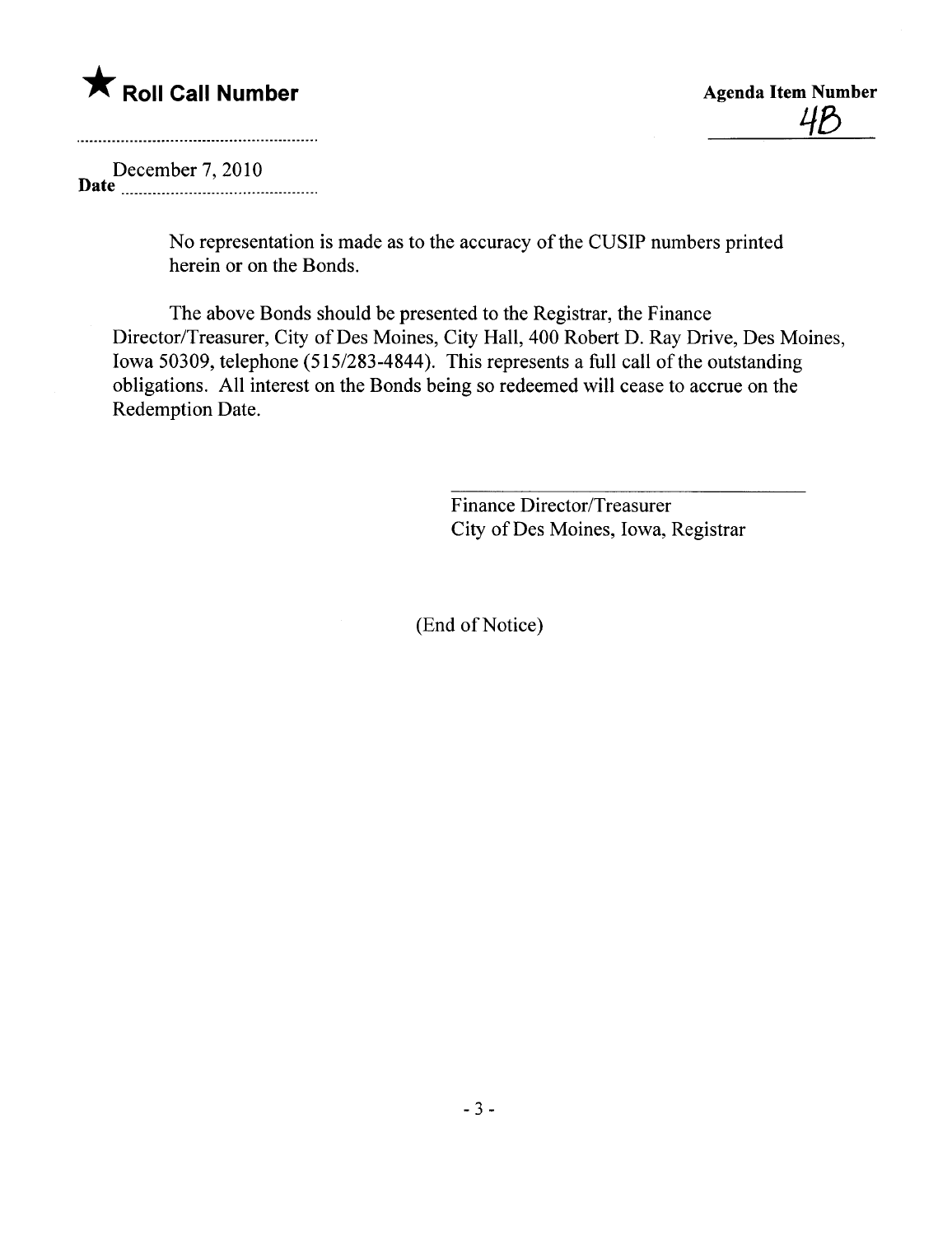

<u>4P</u>

December 7,2010 Date \_\_\_\_\_\_\_. \_\_...\_\_\_ \_ \_ \_\_\_ \_ \_ \_\_. \_.. \_ \_\_\_\_\_\_ \_\_\_\_\_ \_\_\_

> No representation is made as to the accuracy of the CUSIP numbers printed herein or on the Bonds.

The above Bonds should be presented to the Registrar, the Finance Director/Treasurer, City of Des Moines, City Hall, 400 Robert D. Ray Drive, Des Moines, Iowa 50309, telephone (515/283-4844). This represents a full call of the outstanding obligations. All interest on the Bonds being so redeemed wil cease to accrue on the Redemption Date.

> Finance Director/Treasurer City of Des Moines, Iowa, Registrar

(End of Notice)